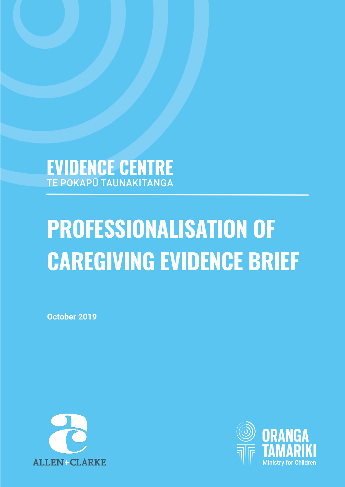# **EVIDENCE CENTRE**

# **PROFESSIONALISATION OF CAREGIVING EVIDENCE BRIEF**

**October 2019**



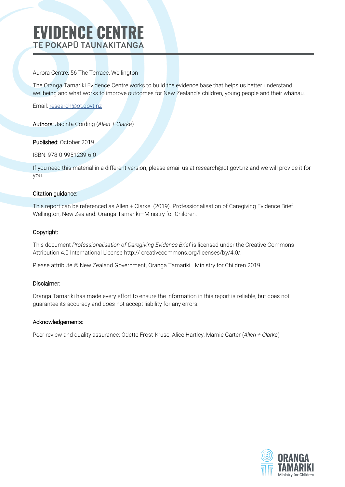### **EVIDENCE CENTRE TE POKAPŪ TAUNAKITANGA**

Aurora Centre, 56 The Terrace, Wellington

The Oranga Tamariki Evidence Centre works to build the evidence base that helps us better understand wellbeing and what works to improve outcomes for New Zealand's children, young people and their whānau.

Email[: research@ot.govt.nz](mailto:research@ot.govt.nz)

Authors: Jacinta Cording (*Allen + Clarke*)

Published: October 2019

ISBN: 978-0-9951239-6-0

If you need this material in a different version, please email us at research@ot.govt.nz and we will provide it for you.

#### Citation guidance:

This report can be referenced as Allen + Clarke. (2019). Professionalisation of Caregiving Evidence Brief. Wellington, New Zealand: Oranga Tamariki—Ministry for Children.

#### Copyright:

This document *Professionalisation of Caregiving Evidence Brief* is licensed under the Creative Commons Attribution 4.0 International License http:// creativecommons.org/licenses/by/4.0/.

Please attribute © New Zealand Government, Oranga Tamariki—Ministry for Children 2019.

#### Disclaimer:

Oranga Tamariki has made every effort to ensure the information in this report is reliable, but does not guarantee its accuracy and does not accept liability for any errors.

#### Acknowledgements:

Peer review and quality assurance: Odette Frost-Kruse, Alice Hartley, Marnie Carter (*Allen + Clarke*)

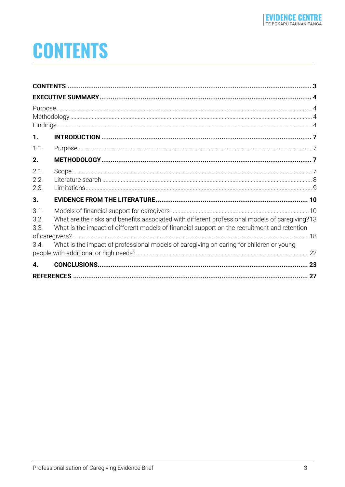## <span id="page-2-0"></span>**CONTENTS**

|                              |                                                                                                                                                                                                                                                                                           | 3  |
|------------------------------|-------------------------------------------------------------------------------------------------------------------------------------------------------------------------------------------------------------------------------------------------------------------------------------------|----|
|                              |                                                                                                                                                                                                                                                                                           |    |
|                              |                                                                                                                                                                                                                                                                                           |    |
| 1.                           |                                                                                                                                                                                                                                                                                           |    |
| 1.1.                         |                                                                                                                                                                                                                                                                                           |    |
| 2.                           |                                                                                                                                                                                                                                                                                           |    |
| 2.1.<br>2.2.<br>2.3.         |                                                                                                                                                                                                                                                                                           |    |
| 3.                           |                                                                                                                                                                                                                                                                                           |    |
| 3.1.<br>3.2.<br>3.3.<br>3.4. | What are the risks and benefits associated with different professional models of caregiving?13<br>What is the impact of different models of financial support on the recruitment and retention<br>What is the impact of professional models of caregiving on caring for children or young |    |
| 4.                           |                                                                                                                                                                                                                                                                                           | 23 |
|                              |                                                                                                                                                                                                                                                                                           | 27 |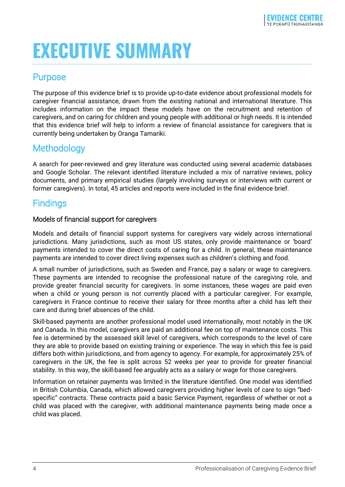## <span id="page-3-0"></span>**EXECUTIVE SUMMARY**

#### <span id="page-3-1"></span>Purpose

The purpose of this evidence brief is to provide up-to-date evidence about professional models for caregiver financial assistance, drawn from the existing national and international literature. This includes information on the impact these models have on the recruitment and retention of caregivers, and on caring for children and young people with additional or high needs. It is intended that this evidence brief will help to inform a review of financial assistance for caregivers that is currently being undertaken by Oranga Tamariki.

#### <span id="page-3-2"></span>**Methodology**

A search for peer-reviewed and grey literature was conducted using several academic databases and Google Scholar. The relevant identified literature included a mix of narrative reviews, policy documents, and primary empirical studies (largely involving surveys or interviews with current or former caregivers). In total, 45 articles and reports were included in the final evidence brief.

#### <span id="page-3-3"></span>**Findings**

#### Models of financial support for caregivers

Models and details of financial support systems for caregivers vary widely across international jurisdictions. Many jurisdictions, such as most US states, only provide maintenance or 'board' payments intended to cover the direct costs of caring for a child. In general, these maintenance payments are intended to cover direct living expenses such as children's clothing and food.

A small number of jurisdictions, such as Sweden and France, pay a salary or wage to caregivers. These payments are intended to recognise the professional nature of the caregiving role, and provide greater financial security for caregivers. In some instances, these wages are paid even when a child or young person is not currently placed with a particular caregiver. For example, caregivers in France continue to receive their salary for three months after a child has left their care and during brief absences of the child.

Skill-based payments are another professional model used internationally, most notably in the UK and Canada. In this model, caregivers are paid an additional fee on top of maintenance costs. This fee is determined by the assessed skill level of caregivers, which corresponds to the level of care they are able to provide based on existing training or experience. The way in which this fee is paid differs both within jurisdictions, and from agency to agency. For example, for approximately 25% of caregivers in the UK, the fee is split across 52 weeks per year to provide for greater financial stability. In this way, the skill-based fee arguably acts as a salary or wage for those caregivers.

Information on retainer payments was limited in the literature identified. One model was identified in British Columbia, Canada, which allowed caregivers providing higher levels of care to sign "bedspecific" contracts. These contracts paid a basic Service Payment, regardless of whether or not a child was placed with the caregiver, with additional maintenance payments being made once a child was placed.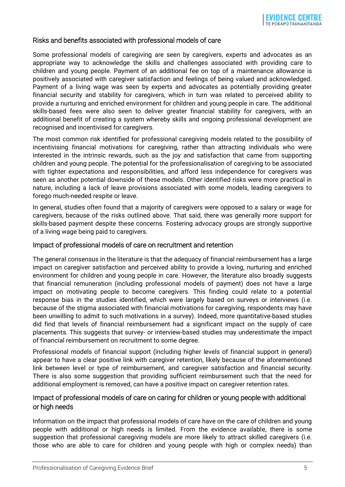#### Risks and benefits associated with professional models of care

Some professional models of caregiving are seen by caregivers, experts and advocates as an appropriate way to acknowledge the skills and challenges associated with providing care to children and young people. Payment of an additional fee on top of a maintenance allowance is positively associated with caregiver satisfaction and feelings of being valued and acknowledged. Payment of a living wage was seen by experts and advocates as potentially providing greater financial security and stability for caregivers, which in turn was related to perceived ability to provide a nurturing and enriched environment for children and young people in care. The additional skills-based fees were also seen to deliver greater financial stability for caregivers, with an additional benefit of creating a system whereby skills and ongoing professional development are recognised and incentivised for caregivers.

The most common risk identified for professional caregiving models related to the possibility of incentivising financial motivations for caregiving, rather than attracting individuals who were interested in the intrinsic rewards, such as the joy and satisfaction that came from supporting children and young people. The potential for the professionalisation of caregiving to be associated with tighter expectations and responsibilities, and afford less independence for caregivers was seen as another potential downside of these models. Other identified risks were more practical in nature, including a lack of leave provisions associated with some models, leading caregivers to forego much-needed respite or leave.

In general, studies often found that a majority of caregivers were opposed to a salary or wage for caregivers, because of the risks outlined above. That said, there was generally more support for skills-based payment despite these concerns. Fostering advocacy groups are strongly supportive of a living wage being paid to caregivers.

#### Impact of professional models of care on recruitment and retention

The general consensus in the literature is that the adequacy of financial reimbursement has a large impact on caregiver satisfaction and perceived ability to provide a loving, nurturing and enriched environment for children and young people in care. However, the literature also broadly suggests that financial remuneration (including professional models of payment) does not have a large impact on motivating people to become caregivers. This finding could relate to a potential response bias in the studies identified, which were largely based on surveys or interviews (i.e. because of the stigma associated with financial motivations for caregiving, respondents may have been unwilling to admit to such motivations in a survey). Indeed, more quantitative-based studies did find that levels of financial reimbursement had a significant impact on the supply of care placements. This suggests that survey- or interview-based studies may underestimate the impact of financial reimbursement on recruitment to some degree.

Professional models of financial support (including higher levels of financial support in general) appear to have a clear positive link with caregiver retention, likely because of the aforementioned link between level or type of reimbursement, and caregiver satisfaction and financial security. There is also some suggestion that providing sufficient reimbursement such that the need for additional employment is removed, can have a positive impact on caregiver retention rates.

#### Impact of professional models of care on caring for children or young people with additional or high needs

Information on the impact that professional models of care have on the care of children and young people with additional or high needs is limited. From the evidence available, there is some suggestion that professional caregiving models are more likely to attract skilled caregivers (i.e. those who are able to care for children and young people with high or complex needs) than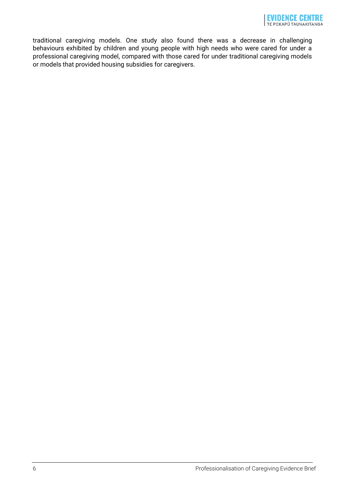traditional caregiving models. One study also found there was a decrease in challenging behaviours exhibited by children and young people with high needs who were cared for under a professional caregiving model, compared with those cared for under traditional caregiving models or models that provided housing subsidies for caregivers.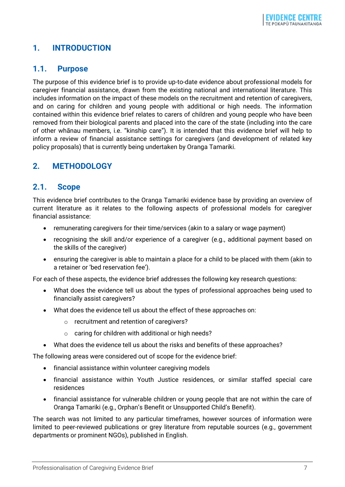#### <span id="page-6-0"></span>**1. INTRODUCTION**

#### <span id="page-6-1"></span>**1.1. Purpose**

The purpose of this evidence brief is to provide up-to-date evidence about professional models for caregiver financial assistance, drawn from the existing national and international literature. This includes information on the impact of these models on the recruitment and retention of caregivers, and on caring for children and young people with additional or high needs. The information contained within this evidence brief relates to carers of children and young people who have been removed from their biological parents and placed into the care of the state (including into the care of other whānau members, i.e. "kinship care"). It is intended that this evidence brief will help to inform a review of financial assistance settings for caregivers (and development of related key policy proposals) that is currently being undertaken by Oranga Tamariki.

#### <span id="page-6-2"></span>**2. METHODOLOGY**

#### <span id="page-6-3"></span>**2.1. Scope**

This evidence brief contributes to the Oranga Tamariki evidence base by providing an overview of current literature as it relates to the following aspects of professional models for caregiver financial assistance:

- remunerating caregivers for their time/services (akin to a salary or wage payment)
- recognising the skill and/or experience of a caregiver (e.g., additional payment based on the skills of the caregiver)
- ensuring the caregiver is able to maintain a place for a child to be placed with them (akin to a retainer or 'bed reservation fee').

For each of these aspects, the evidence brief addresses the following key research questions:

- What does the evidence tell us about the types of professional approaches being used to financially assist caregivers?
- What does the evidence tell us about the effect of these approaches on:
	- o recruitment and retention of caregivers?
	- o caring for children with additional or high needs?
- What does the evidence tell us about the risks and benefits of these approaches?

The following areas were considered out of scope for the evidence brief:

- financial assistance within volunteer caregiving models
- financial assistance within Youth Justice residences, or similar staffed special care residences
- financial assistance for vulnerable children or young people that are not within the care of Oranga Tamariki (e.g., Orphan's Benefit or Unsupported Child's Benefit).

The search was not limited to any particular timeframes, however sources of information were limited to peer-reviewed publications or grey literature from reputable sources (e.g., government departments or prominent NGOs), published in English.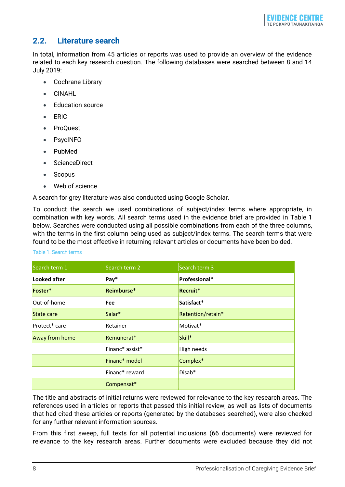#### <span id="page-7-0"></span>**2.2. Literature search**

In total, information from 45 articles or reports was used to provide an overview of the evidence related to each key research question. The following databases were searched between 8 and 14 July 2019:

- Cochrane Library
- CINAHL
- Education source
- ERIC
- ProQuest
- PsycINFO
- PubMed
- ScienceDirect
- Scopus
- Web of science

A search for grey literature was also conducted using Google Scholar.

To conduct the search we used combinations of subject/index terms where appropriate, in combination with key words. All search terms used in the evidence brief are provided in [Table 1](#page-7-1) below. Searches were conducted using all possible combinations from each of the three columns, with the terms in the first column being used as subject/index terms. The search terms that were found to be the most effective in returning relevant articles or documents have been bolded.

| Search term 1  | Search term 2             | Search term 3     |
|----------------|---------------------------|-------------------|
| Looked after   | $Pay*$                    | Professional*     |
| Foster*        | Reimburse*                | Recruit*          |
| Out-of-home    | <b>Fee</b>                | Satisfact*        |
| State care     | Salar*                    | Retention/retain* |
| Protect* care  | Retainer                  | Motivat*          |
| Away from home | Remunerat*                | Skill*            |
|                | Financ* assist*           | High needs        |
|                | Financ <sup>*</sup> model | Complex*          |
|                | Financ* reward            | Disab*            |
|                | Compensat*                |                   |

<span id="page-7-1"></span>Table 1. Search terms

The title and abstracts of initial returns were reviewed for relevance to the key research areas. The references used in articles or reports that passed this initial review, as well as lists of documents that had cited these articles or reports (generated by the databases searched), were also checked for any further relevant information sources.

From this first sweep, full texts for all potential inclusions (66 documents) were reviewed for relevance to the key research areas. Further documents were excluded because they did not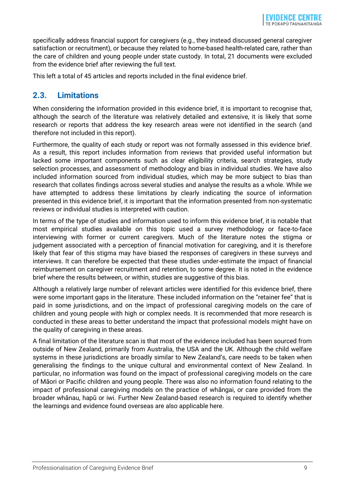specifically address financial support for caregivers (e.g., they instead discussed general caregiver satisfaction or recruitment), or because they related to home-based health-related care, rather than the care of children and young people under state custody. In total, 21 documents were excluded from the evidence brief after reviewing the full text.

This left a total of 45 articles and reports included in the final evidence brief.

#### <span id="page-8-0"></span>**2.3. Limitations**

When considering the information provided in this evidence brief, it is important to recognise that, although the search of the literature was relatively detailed and extensive, it is likely that some research or reports that address the key research areas were not identified in the search (and therefore not included in this report).

Furthermore, the quality of each study or report was not formally assessed in this evidence brief. As a result, this report includes information from reviews that provided useful information but lacked some important components such as clear eligibility criteria, search strategies, study selection processes, and assessment of methodology and bias in individual studies. We have also included information sourced from individual studies, which may be more subject to bias than research that collates findings across several studies and analyse the results as a whole. While we have attempted to address these limitations by clearly indicating the source of information presented in this evidence brief, it is important that the information presented from non-systematic reviews or individual studies is interpreted with caution.

In terms of the type of studies and information used to inform this evidence brief, it is notable that most empirical studies available on this topic used a survey methodology or face-to-face interviewing with former or current caregivers. Much of the literature notes the stigma or judgement associated with a perception of financial motivation for caregiving, and it is therefore likely that fear of this stigma may have biased the responses of caregivers in these surveys and interviews. It can therefore be expected that these studies under-estimate the impact of financial reimbursement on caregiver recruitment and retention, to some degree. It is noted in the evidence brief where the results between, or within, studies are suggestive of this bias.

Although a relatively large number of relevant articles were identified for this evidence brief, there were some important gaps in the literature. These included information on the "retainer fee" that is paid in some jurisdictions, and on the impact of professional caregiving models on the care of children and young people with high or complex needs. It is recommended that more research is conducted in these areas to better understand the impact that professional models might have on the quality of caregiving in these areas.

A final limitation of the literature scan is that most of the evidence included has been sourced from outside of New Zealand, primarily from Australia, the USA and the UK. Although the child welfare systems in these jurisdictions are broadly similar to New Zealand's, care needs to be taken when generalising the findings to the unique cultural and environmental context of New Zealand. In particular, no information was found on the impact of professional caregiving models on the care of Māori or Pacific children and young people. There was also no information found relating to the impact of professional caregiving models on the practice of whāngai, or care provided from the broader whānau, hapū or iwi. Further New Zealand-based research is required to identify whether the learnings and evidence found overseas are also applicable here.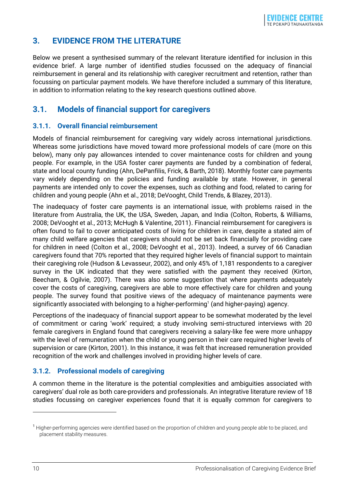#### <span id="page-9-0"></span>**3. EVIDENCE FROM THE LITERATURE**

Below we present a synthesised summary of the relevant literature identified for inclusion in this evidence brief. A large number of identified studies focussed on the adequacy of financial reimbursement in general and its relationship with caregiver recruitment and retention, rather than focussing on particular payment models. We have therefore included a summary of this literature, in addition to information relating to the key research questions outlined above.

#### <span id="page-9-1"></span>**3.1. Models of financial support for caregivers**

#### **3.1.1. Overall financial reimbursement**

Models of financial reimbursement for caregiving vary widely across international jurisdictions. Whereas some jurisdictions have moved toward more professional models of care (more on this below), many only pay allowances intended to cover maintenance costs for children and young people. For example, in the USA foster carer payments are funded by a combination of federal, state and local county funding (Ahn, DePanfilis, Frick, & Barth, 2018). Monthly foster care payments vary widely depending on the policies and funding available by state. However, in general payments are intended only to cover the expenses, such as clothing and food, related to caring for children and young people (Ahn et al., 2018; DeVooght, Child Trends, & Blazey, 2013).

The inadequacy of foster care payments is an international issue, with problems raised in the literature from Australia, the UK, the USA, Sweden, Japan, and India (Colton, Roberts, & Williams, 2008; DeVooght et al., 2013; McHugh & Valentine, 2011). Financial reimbursement for caregivers is often found to fail to cover anticipated costs of living for children in care, despite a stated aim of many child welfare agencies that caregivers should not be set back financially for providing care for children in need (Colton et al., 2008; DeVooght et al., 2013). Indeed, a survey of 66 Canadian caregivers found that 70% reported that they required higher levels of financial support to maintain their caregiving role (Hudson & Levasseur, 2002), and only 45% of 1,181 respondents to a caregiver survey in the UK indicated that they were satisfied with the payment they received (Kirton, Beecham, & Ogilvie, 2007). There was also some suggestion that where payments adequately cover the costs of caregiving, caregivers are able to more effectively care for children and young people. The survey found that positive views of the adequacy of maintenance payments were significantly associated with belonging to a higher-performing<sup>1</sup> (and higher-paying) agency.

Perceptions of the inadequacy of financial support appear to be somewhat moderated by the level of commitment or caring 'work' required; a study involving semi-structured interviews with 20 female caregivers in England found that caregivers receiving a salary-like fee were more unhappy with the level of remuneration when the child or young person in their care required higher levels of supervision or care (Kirton, 2001). In this instance, it was felt that increased remuneration provided recognition of the work and challenges involved in providing higher levels of care.

#### **3.1.2. Professional models of caregiving**

A common theme in the literature is the potential complexities and ambiguities associated with caregivers' dual role as both care-providers and professionals. An integrative literature review of 18 studies focussing on caregiver experiences found that it is equally common for caregivers to

-

<sup>&</sup>lt;sup>1</sup> Higher-performing agencies were identified based on the proportion of children and young people able to be placed, and placement stability measures.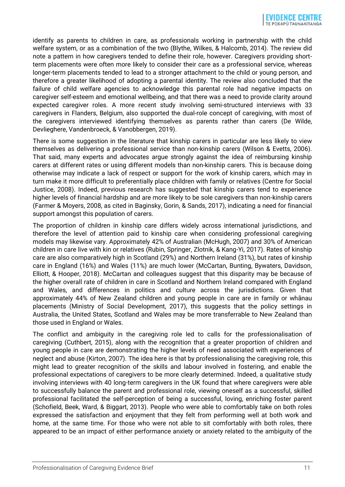identify as parents to children in care, as professionals working in partnership with the child welfare system, or as a combination of the two (Blythe, Wilkes, & Halcomb, 2014). The review did note a pattern in how caregivers tended to define their role, however. Caregivers providing shortterm placements were often more likely to consider their care as a professional service, whereas longer-term placements tended to lead to a stronger attachment to the child or young person, and therefore a greater likelihood of adopting a parental identity. The review also concluded that the failure of child welfare agencies to acknowledge this parental role had negative impacts on caregiver self-esteem and emotional wellbeing, and that there was a need to provide clarity around expected caregiver roles. A more recent study involving semi-structured interviews with 33 caregivers in Flanders, Belgium, also supported the dual-role concept of caregiving, with most of the caregivers interviewed identifying themselves as parents rather than carers (De Wilde, Devlieghere, Vandenbroeck, & Vanobbergen, 2019).

There is some suggestion in the literature that kinship carers in particular are less likely to view themselves as delivering a professional service than non-kinship carers (Wilson & Evetts, 2006). That said, many experts and advocates argue strongly against the idea of reimbursing kinship carers at different rates or using different models than non-kinship carers. This is because doing otherwise may indicate a lack of respect or support for the work of kinship carers, which may in turn make it more difficult to preferentially place children with family or relatives (Centre for Social Justice, 2008). Indeed, previous research has suggested that kinship carers tend to experience higher levels of financial hardship and are more likely to be sole caregivers than non-kinship carers (Farmer & Moyers, 2008, as cited in Baginsky, Gorin, & Sands, 2017), indicating a need for financial support amongst this population of carers.

The proportion of children in kinship care differs widely across international jurisdictions, and therefore the level of attention paid to kinship care when considering professional caregiving models may likewise vary. Approximately 42% of Australian (McHugh, 2007) and 30% of American children in care live with kin or relatives (Rubin, Springer, Zlotnik, & Kang-Yi, 2017). Rates of kinship care are also comparatively high in Scotland (29%) and Northern Ireland (31%), but rates of kinship care in England (16%) and Wales (11%) are much lower (McCartan, Bunting, Bywaters, Davidson, Elliott, & Hooper, 2018). McCartan and colleagues suggest that this disparity may be because of the higher overall rate of children in care in Scotland and Northern Ireland compared with England and Wales, and differences in politics and culture across the jurisdictions. Given that approximately 44% of New Zealand children and young people in care are in family or whānau placements (Ministry of Social Development, 2017), this suggests that the policy settings in Australia, the United States, Scotland and Wales may be more transferrable to New Zealand than those used in England or Wales.

The conflict and ambiguity in the caregiving role led to calls for the professionalisation of caregiving (Cuthbert, 2015), along with the recognition that a greater proportion of children and young people in care are demonstrating the higher levels of need associated with experiences of neglect and abuse (Kirton, 2007). The idea here is that by professionalising the caregiving role, this might lead to greater recognition of the skills and labour involved in fostering, and enable the professional expectations of caregivers to be more clearly determined. Indeed, a qualitative study involving interviews with 40 long-term caregivers in the UK found that where caregivers were able to successfully balance the parent and professional role, viewing oneself as a successful, skilled professional facilitated the self-perception of being a successful, loving, enriching foster parent (Schofield, Beek, Ward, & Biggart, 2013). People who were able to comfortably take on both roles expressed the satisfaction and enjoyment that they felt from performing well at both work and home, at the same time. For those who were not able to sit comfortably with both roles, there appeared to be an impact of either performance anxiety or anxiety related to the ambiguity of the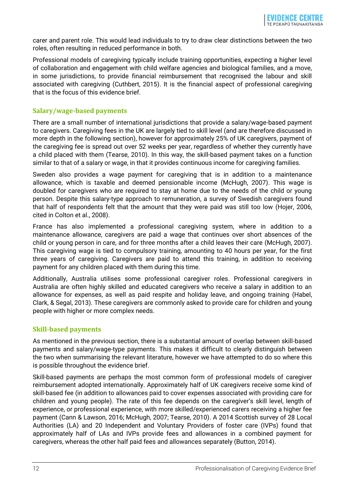carer and parent role. This would lead individuals to try to draw clear distinctions between the two roles, often resulting in reduced performance in both.

Professional models of caregiving typically include training opportunities, expecting a higher level of collaboration and engagement with child welfare agencies and biological families, and a move, in some jurisdictions, to provide financial reimbursement that recognised the labour and skill associated with caregiving (Cuthbert, 2015). It is the financial aspect of professional caregiving that is the focus of this evidence brief.

#### **Salary/wage-based payments**

There are a small number of international jurisdictions that provide a salary/wage-based payment to caregivers. Caregiving fees in the UK are largely tied to skill level (and are therefore discussed in more depth in the following section), however for approximately 25% of UK caregivers, payment of the caregiving fee is spread out over 52 weeks per year, regardless of whether they currently have a child placed with them (Tearse, 2010). In this way, the skill-based payment takes on a function similar to that of a salary or wage, in that it provides continuous income for caregiving families.

Sweden also provides a wage payment for caregiving that is in addition to a maintenance allowance, which is taxable and deemed pensionable income (McHugh, 2007). This wage is doubled for caregivers who are required to stay at home due to the needs of the child or young person. Despite this salary-type approach to remuneration, a survey of Swedish caregivers found that half of respondents felt that the amount that they were paid was still too low (Hojer, 2006, cited in Colton et al., 2008).

France has also implemented a professional caregiving system, where in addition to a maintenance allowance, caregivers are paid a wage that continues over short absences of the child or young person in care, and for three months after a child leaves their care (McHugh, 2007). This caregiving wage is tied to compulsory training, amounting to 40 hours per year, for the first three years of caregiving. Caregivers are paid to attend this training, in addition to receiving payment for any children placed with them during this time.

Additionally, Australia utilises some professional caregiver roles. Professional caregivers in Australia are often highly skilled and educated caregivers who receive a salary in addition to an allowance for expenses, as well as paid respite and holiday leave, and ongoing training (Habel, Clark, & Segal, 2013). These caregivers are commonly asked to provide care for children and young people with higher or more complex needs.

#### **Skill-based payments**

As mentioned in the previous section, there is a substantial amount of overlap between skill-based payments and salary/wage-type payments. This makes it difficult to clearly distinguish between the two when summarising the relevant literature, however we have attempted to do so where this is possible throughout the evidence brief.

Skill-based payments are perhaps the most common form of professional models of caregiver reimbursement adopted internationally. Approximately half of UK caregivers receive some kind of skill-based fee (in addition to allowances paid to cover expenses associated with providing care for children and young people). The rate of this fee depends on the caregiver's skill level, length of experience, or professional experience, with more skilled/experienced carers receiving a higher fee payment (Cann & Lawson, 2016; McHugh, 2007; Tearse, 2010). A 2014 Scottish survey of 28 Local Authorities (LA) and 20 Independent and Voluntary Providers of foster care (IVPs) found that approximately half of LAs and IVPs provide fees and allowances in a combined payment for caregivers, whereas the other half paid fees and allowances separately (Button, 2014).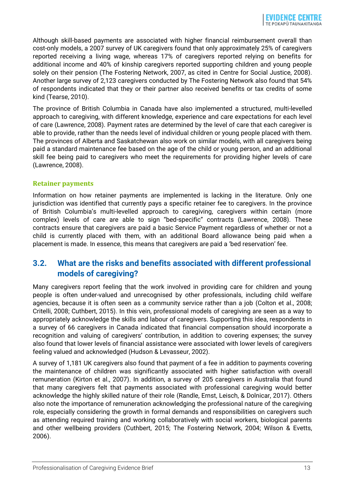Although skill-based payments are associated with higher financial reimbursement overall than cost-only models, a 2007 survey of UK caregivers found that only approximately 25% of caregivers reported receiving a living wage, whereas 17% of caregivers reported relying on benefits for additional income and 40% of kinship caregivers reported supporting children and young people solely on their pension (The Fostering Network, 2007, as cited in Centre for Social Justice, 2008). Another large survey of 2,123 caregivers conducted by The Fostering Network also found that 54% of respondents indicated that they or their partner also received benefits or tax credits of some kind (Tearse, 2010).

The province of British Columbia in Canada have also implemented a structured, multi-levelled approach to caregiving, with different knowledge, experience and care expectations for each level of care (Lawrence, 2008). Payment rates are determined by the level of care that each caregiver is able to provide, rather than the needs level of individual children or young people placed with them. The provinces of Alberta and Saskatchewan also work on similar models, with all caregivers being paid a standard maintenance fee based on the age of the child or young person, and an additional skill fee being paid to caregivers who meet the requirements for providing higher levels of care (Lawrence, 2008).

#### **Retainer payments**

Information on how retainer payments are implemented is lacking in the literature. Only one jurisdiction was identified that currently pays a specific retainer fee to caregivers. In the province of British Columbia's multi-levelled approach to caregiving, caregivers within certain (more complex) levels of care are able to sign "bed-specific" contracts (Lawrence, 2008). These contracts ensure that caregivers are paid a basic Service Payment regardless of whether or not a child is currently placed with them, with an additional Board allowance being paid when a placement is made. In essence, this means that caregivers are paid a 'bed reservation' fee.

#### <span id="page-12-0"></span>**3.2. What are the risks and benefits associated with different professional models of caregiving?**

Many caregivers report feeling that the work involved in providing care for children and young people is often under-valued and unrecognised by other professionals, including child welfare agencies, because it is often seen as a community service rather than a job (Colton et al., 2008; Critelli, 2008; Cuthbert, 2015). In this vein, professional models of caregiving are seen as a way to appropriately acknowledge the skills and labour of caregivers. Supporting this idea, respondents in a survey of 66 caregivers in Canada indicated that financial compensation should incorporate a recognition and valuing of caregivers' contribution, in addition to covering expenses; the survey also found that lower levels of financial assistance were associated with lower levels of caregivers feeling valued and acknowledged (Hudson & Levasseur, 2002).

A survey of 1,181 UK caregivers also found that payment of a fee in addition to payments covering the maintenance of children was significantly associated with higher satisfaction with overall remuneration (Kirton et al., 2007). In addition, a survey of 205 caregivers in Australia that found that many caregivers felt that payments associated with professional caregiving would better acknowledge the highly skilled nature of their role (Randle, Ernst, Leisch, & Dolnicar, 2017). Others also note the importance of remuneration acknowledging the professional nature of the caregiving role, especially considering the growth in formal demands and responsibilities on caregivers such as attending required training and working collaboratively with social workers, biological parents and other wellbeing providers (Cuthbert, 2015; The Fostering Network, 2004; Wilson & Evetts, 2006).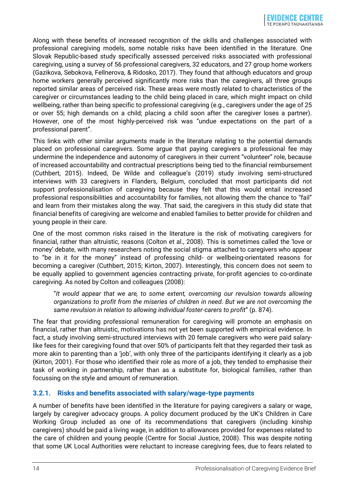Along with these benefits of increased recognition of the skills and challenges associated with professional caregiving models, some notable risks have been identified in the literature. One Slovak Republic-based study specifically assessed perceived risks associated with professional caregiving, using a survey of 56 professional caregivers, 32 educators, and 27 group home workers (Gazikova, Sebokova, Fellnerova, & Ridosko, 2017). They found that although educators and group home workers generally perceived significantly more risks than the caregivers, all three groups reported similar areas of perceived risk. These areas were mostly related to characteristics of the caregiver or circumstances leading to the child being placed in care, which might impact on child wellbeing, rather than being specific to professional caregiving (e.g., caregivers under the age of 25 or over 55; high demands on a child; placing a child soon after the caregiver loses a partner). However, one of the most highly-perceived risk was "undue expectations on the part of a professional parent".

This links with other similar arguments made in the literature relating to the potential demands placed on professional caregivers. Some argue that paying caregivers a professional fee may undermine the independence and autonomy of caregivers in their current "volunteer" role, because of increased accountability and contractual prescriptions being tied to the financial reimbursement (Cuthbert, 2015). Indeed, De Wilde and colleague's (2019) study involving semi-structured interviews with 33 caregivers in Flanders, Belgium, concluded that most participants did not support professionalisation of caregiving because they felt that this would entail increased professional responsibilities and accountability for families, not allowing them the chance to "fail" and learn from their mistakes along the way. That said, the caregivers in this study did state that financial benefits of caregiving are welcome and enabled families to better provide for children and young people in their care.

One of the most common risks raised in the literature is the risk of motivating caregivers for financial, rather than altruistic, reasons (Colton et al., 2008). This is sometimes called the 'love or money' debate, with many researchers noting the social stigma attached to caregivers who appear to "be in it for the money" instead of professing child- or wellbeing-orientated reasons for becoming a caregiver (Cuthbert, 2015; Kirton, 2007). Interestingly, this concern does not seem to be equally applied to government agencies contracting private, for-profit agencies to co-ordinate caregiving. As noted by Colton and colleagues (2008):

"*It would appear that we are, to some extent, overcoming our revulsion towards allowing organizations to profit from the miseries of children in need. But we are not overcoming the same revulsion in relation to allowing individual foster-carers to profit*" (p. 874).

The fear that providing professional remuneration for caregiving will promote an emphasis on financial, rather than altruistic, motivations has not yet been supported with empirical evidence. In fact, a study involving semi-structured interviews with 20 female caregivers who were paid salarylike fees for their caregiving found that over 50% of participants felt that they regarded their task as more akin to parenting than a 'job', with only three of the participants identifying it clearly as a job (Kirton, 2001). For those who identified their role as more of a job, they tended to emphasise their task of working in partnership, rather than as a substitute for, biological families, rather than focussing on the style and amount of remuneration.

#### **3.2.1. Risks and benefits associated with salary/wage-type payments**

A number of benefits have been identified in the literature for paying caregivers a salary or wage, largely by caregiver advocacy groups. A policy document produced by the UK's Children in Care Working Group included as one of its recommendations that caregivers (including kinship caregivers) should be paid a living wage, in addition to allowances provided for expenses related to the care of children and young people (Centre for Social Justice, 2008). This was despite noting that some UK Local Authorities were reluctant to increase caregiving fees, due to fears related to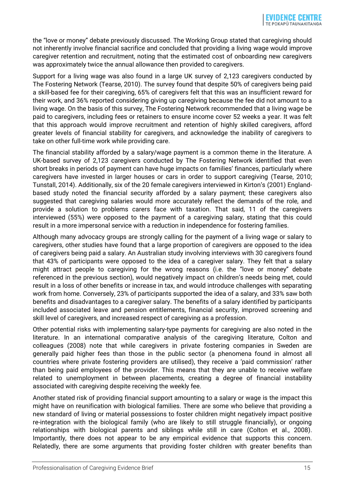the "love or money" debate previously discussed. The Working Group stated that caregiving should not inherently involve financial sacrifice and concluded that providing a living wage would improve caregiver retention and recruitment, noting that the estimated cost of onboarding new caregivers was approximately twice the annual allowance then provided to caregivers.

Support for a living wage was also found in a large UK survey of 2,123 caregivers conducted by The Fostering Network (Tearse, 2010). The survey found that despite 50% of caregivers being paid a skill-based fee for their caregiving, 65% of caregivers felt that this was an insufficient reward for their work, and 36% reported considering giving up caregiving because the fee did not amount to a living wage. On the basis of this survey, The Fostering Network recommended that a living wage be paid to caregivers, including fees or retainers to ensure income cover 52 weeks a year. It was felt that this approach would improve recruitment and retention of highly skilled caregivers, afford greater levels of financial stability for caregivers, and acknowledge the inability of caregivers to take on other full-time work while providing care.

The financial stability afforded by a salary/wage payment is a common theme in the literature. A UK-based survey of 2,123 caregivers conducted by The Fostering Network identified that even short breaks in periods of payment can have huge impacts on families' finances, particularly where caregivers have invested in larger houses or cars in order to support caregiving (Tearse, 2010; Tunstall, 2014). Additionally, six of the 20 female caregivers interviewed in Kirton's (2001) Englandbased study noted the financial security afforded by a salary payment; these caregivers also suggested that caregiving salaries would more accurately reflect the demands of the role, and provide a solution to problems carers face with taxation. That said, 11 of the caregivers interviewed (55%) were opposed to the payment of a caregiving salary, stating that this could result in a more impersonal service with a reduction in independence for fostering families.

Although many advocacy groups are strongly calling for the payment of a living wage or salary to caregivers, other studies have found that a large proportion of caregivers are opposed to the idea of caregivers being paid a salary. An Australian study involving interviews with 30 caregivers found that 43% of participants were opposed to the idea of a caregiver salary. They felt that a salary might attract people to caregiving for the wrong reasons (i.e. the "love or money" debate referenced in the previous section), would negatively impact on children's needs being met, could result in a loss of other benefits or increase in tax, and would introduce challenges with separating work from home. Conversely, 23% of participants supported the idea of a salary, and 33% saw both benefits and disadvantages to a caregiver salary. The benefits of a salary identified by participants included associated leave and pension entitlements, financial security, improved screening and skill level of caregivers, and increased respect of caregiving as a profession.

Other potential risks with implementing salary-type payments for caregiving are also noted in the literature. In an international comparative analysis of the caregiving literature, Colton and colleagues (2008) note that while caregivers in private fostering companies in Sweden are generally paid higher fees than those in the public sector (a phenomena found in almost all countries where private fostering providers are utilised), they receive a 'paid commission' rather than being paid employees of the provider. This means that they are unable to receive welfare related to unemployment in between placements, creating a degree of financial instability associated with caregiving despite receiving the weekly fee.

Another stated risk of providing financial support amounting to a salary or wage is the impact this might have on reunification with biological families. There are some who believe that providing a new standard of living or material possessions to foster children might negatively impact positive re-integration with the biological family (who are likely to still struggle financially), or ongoing relationships with biological parents and siblings while still in care (Colton et al., 2008). Importantly, there does not appear to be any empirical evidence that supports this concern. Relatedly, there are some arguments that providing foster children with greater benefits than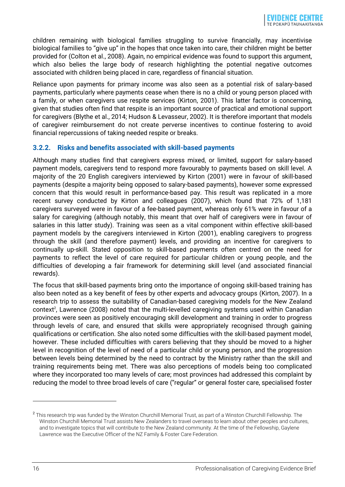children remaining with biological families struggling to survive financially, may incentivise biological families to "give up" in the hopes that once taken into care, their children might be better provided for (Colton et al., 2008). Again, no empirical evidence was found to support this argument, which also belies the large body of research highlighting the potential negative outcomes associated with children being placed in care, regardless of financial situation.

Reliance upon payments for primary income was also seen as a potential risk of salary-based payments, particularly where payments cease when there is no a child or young person placed with a family, or when caregivers use respite services (Kirton, 2001). This latter factor is concerning, given that studies often find that respite is an important source of practical and emotional support for caregivers (Blythe et al., 2014; Hudson & Levasseur, 2002). It is therefore important that models of caregiver reimbursement do not create perverse incentives to continue fostering to avoid financial repercussions of taking needed respite or breaks.

#### **3.2.2. Risks and benefits associated with skill-based payments**

Although many studies find that caregivers express mixed, or limited, support for salary-based payment models, caregivers tend to respond more favourably to payments based on skill level. A majority of the 20 English caregivers interviewed by Kirton (2001) were in favour of skill-based payments (despite a majority being opposed to salary-based payments), however some expressed concern that this would result in performance-based pay. This result was replicated in a more recent survey conducted by Kirton and colleagues (2007), which found that 72% of 1,181 caregivers surveyed were in favour of a fee-based payment, whereas only 61% were in favour of a salary for caregiving (although notably, this meant that over half of caregivers were in favour of salaries in this latter study). Training was seen as a vital component within effective skill-based payment models by the caregivers interviewed in Kirton (2001), enabling caregivers to progress through the skill (and therefore payment) levels, and providing an incentive for caregivers to continually up-skill. Stated opposition to skill-based payments often centred on the need for payments to reflect the level of care required for particular children or young people, and the difficulties of developing a fair framework for determining skill level (and associated financial rewards).

The focus that skill-based payments bring onto the importance of ongoing skill-based training has also been noted as a key benefit of fees by other experts and advocacy groups (Kirton, 2007). In a research trip to assess the suitability of Canadian-based caregiving models for the New Zealand context<sup>2</sup>, Lawrence (2008) noted that the multi-levelled caregiving systems used within Canadian provinces were seen as positively encouraging skill development and training in order to progress through levels of care, and ensured that skills were appropriately recognised through gaining qualifications or certification. She also noted some difficulties with the skill-based payment model, however. These included difficulties with carers believing that they should be moved to a higher level in recognition of the level of need of a particular child or young person, and the progression between levels being determined by the need to contract by the Ministry rather than the skill and training requirements being met. There was also perceptions of models being too complicated where they incorporated too many levels of care; most provinces had addressed this complaint by reducing the model to three broad levels of care ("regular" or general foster care, specialised foster

-

<sup>&</sup>lt;sup>2</sup> This research trip was funded by the Winston Churchill Memorial Trust, as part of a Winston Churchill Fellowship. The Winston Churchill Memorial Trust assists New Zealanders to travel overseas to learn about other peoples and cultures, and to investigate topics that will contribute to the New Zealand community. At the time of the Fellowship, Gaylene Lawrence was the Executive Officer of the NZ Family & Foster Care Federation.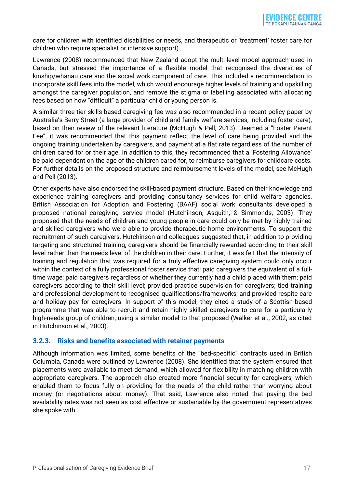care for children with identified disabilities or needs, and therapeutic or 'treatment' foster care for children who require specialist or intensive support).

Lawrence (2008) recommended that New Zealand adopt the multi-level model approach used in Canada, but stressed the importance of a flexible model that recognised the diversities of kinship/whānau care and the social work component of care. This included a recommendation to incorporate skill fees into the model, which would encourage higher levels of training and upskilling amongst the caregiver population, and remove the stigma or labelling associated with allocating fees based on how "difficult" a particular child or young person is.

A similar three-tier skills-based caregiving fee was also recommended in a recent policy paper by Australia's Berry Street (a large provider of child and family welfare services, including foster care), based on their review of the relevant literature (McHugh & Pell, 2013). Deemed a "Foster Parent Fee", it was recommended that this payment reflect the level of care being provided and the ongoing training undertaken by caregivers, and payment at a flat rate regardless of the number of children cared for or their age. In addition to this, they recommended that a 'Fostering Allowance' be paid dependent on the age of the children cared for, to reimburse caregivers for childcare costs. For further details on the proposed structure and reimbursement levels of the model, see McHugh and Pell (2013).

Other experts have also endorsed the skill-based payment structure. Based on their knowledge and experience training caregivers and providing consultancy services for child welfare agencies, British Association for Adoption and Fostering (BAAF) social work consultants developed a proposed national caregiving service model (Hutchinson, Asquith, & Simmonds, 2003). They proposed that the needs of children and young people in care could only be met by highly trained and skilled caregivers who were able to provide therapeutic home environments. To support the recruitment of such caregivers, Hutchinson and colleagues suggested that, in addition to providing targeting and structured training, caregivers should be financially rewarded according to their skill level rather than the needs level of the children in their care. Further, it was felt that the intensity of training and regulation that was required for a truly effective caregiving system could only occur within the context of a fully professional foster service that: paid caregivers the equivalent of a fulltime wage; paid caregivers regardless of whether they currently had a child placed with them; paid caregivers according to their skill level; provided practice supervision for caregivers; tied training and professional development to recognised qualifications/frameworks; and provided respite care and holiday pay for caregivers. In support of this model, they cited a study of a Scottish-based programme that was able to recruit and retain highly skilled caregivers to care for a particularly high-needs group of children, using a similar model to that proposed (Walker et al., 2002, as cited in Hutchinson et al., 2003).

#### **3.2.3. Risks and benefits associated with retainer payments**

Although information was limited, some benefits of the "bed-specific" contracts used in British Columbia, Canada were outlined by Lawrence (2008). She identified that the system ensured that placements were available to meet demand, which allowed for flexibility in matching children with appropriate caregivers. The approach also created more financial security for caregivers, which enabled them to focus fully on providing for the needs of the child rather than worrying about money (or negotiations about money). That said, Lawrence also noted that paying the bed availability rates was not seen as cost effective or sustainable by the government representatives she spoke with.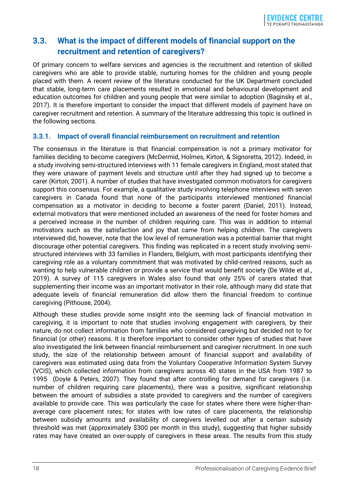#### <span id="page-17-0"></span>**3.3. What is the impact of different models of financial support on the recruitment and retention of caregivers?**

Of primary concern to welfare services and agencies is the recruitment and retention of skilled caregivers who are able to provide stable, nurturing homes for the children and young people placed with them. A recent review of the literature conducted for the UK Department concluded that stable, long-term care placements resulted in emotional and behavioural development and education outcomes for children and young people that were similar to adoption (Baginsky et al., 2017). It is therefore important to consider the impact that different models of payment have on caregiver recruitment and retention. A summary of the literature addressing this topic is outlined in the following sections.

#### **3.3.1. Impact of overall financial reimbursement on recruitment and retention**

The consensus in the literature is that financial compensation is not a primary motivator for families deciding to become caregivers (McDermid, Holmes, Kirton, & Signoretta, 2012). Indeed, in a study involving semi-structured interviews with 11 female caregivers in England, most stated that they were unaware of payment levels and structure until after they had signed up to become a carer (Kirton, 2001). A number of studies that have investigated common motivators for caregivers support this consensus. For example, a qualitative study involving telephone interviews with seven caregivers in Canada found that none of the participants interviewed mentioned financial compensation as a motivator in deciding to become a foster parent (Daniel, 2011). Instead, external motivators that were mentioned included an awareness of the need for foster homes and a perceived increase in the number of children requiring care. This was in addition to internal motivators such as the satisfaction and joy that came from helping children. The caregivers interviewed did, however, note that the low level of remuneration was a potential barrier that might discourage other potential caregivers. This finding was replicated in a recent study involving semistructured interviews with 33 families in Flanders, Belgium, with most participants identifying their caregiving role as a voluntary commitment that was motivated by child-centred reasons, such as wanting to help vulnerable children or provide a service that would benefit society (De Wilde et al., 2019). A survey of 115 caregivers in Wales also found that only 25% of carers stated that supplementing their income was an important motivator in their role, although many did state that adequate levels of financial remuneration did allow them the financial freedom to continue caregiving (Pithouse, 2004).

Although these studies provide some insight into the seeming lack of financial motivation in caregiving, it is important to note that studies involving engagement with caregivers, by their nature, do not collect information from families who considered caregiving but decided not to for financial (or other) reasons. It is therefore important to consider other types of studies that have also investigated the link between financial reimbursement and caregiver recruitment. In one such study, the size of the relationship between amount of financial support and availability of caregivers was estimated using data from the Voluntary Cooperative Information System Survey (VCIS), which collected information from caregivers across 40 states in the USA from 1987 to 1995 (Doyle & Peters, 2007). They found that after controlling for demand for caregivers (i.e. number of children requiring care placements), there was a positive, significant relationship between the amount of subsidies a state provided to caregivers and the number of caregivers available to provide care. This was particularly the case for states where there were higher-thanaverage care placement rates; for states with low rates of care placements, the relationship between subsidy amounts and availability of caregivers levelled out after a certain subsidy threshold was met (approximately \$300 per month in this study), suggesting that higher subsidy rates may have created an over-supply of caregivers in these areas. The results from this study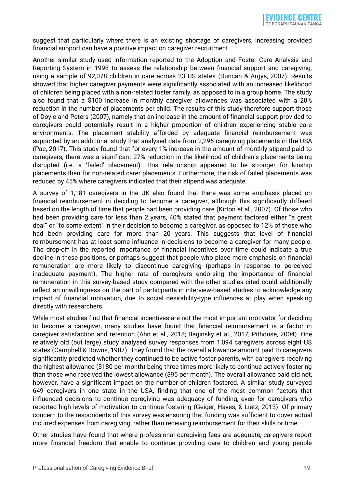suggest that particularly where there is an existing shortage of caregivers, increasing provided financial support can have a positive impact on caregiver recruitment.

Another similar study used information reported to the Adoption and Foster Care Analysis and Reporting System in 1998 to assess the relationship between financial support and caregiving, using a sample of 92,078 children in care across 23 US states (Duncan & Argys, 2007). Results showed that higher caregiver payments were significantly associated with an increased likelihood of children being placed with a non-related foster family, as opposed to in a group home. The study also found that a \$100 increase in monthly caregiver allowances was associated with a 20% reduction in the number of placements per child. The results of this study therefore support those of Doyle and Peters (2007), namely that an increase in the amount of financial support provided to caregivers could potentially result in a higher proportion of children experiencing stable care environments. The placement stability afforded by adequate financial reimbursement was supported by an additional study that analysed data from 2,296 caregiving placements in the USA (Pac, 2017). This study found that for every 1% increase in the amount of monthly stipend paid to caregivers, there was a significant 27% reduction in the likelihood of children's placements being disrupted (i.e. a 'failed' placement). This relationship appeared to be stronger for kinship placements than for non-related carer placements. Furthermore, the risk of failed placements was reduced by 45% where caregivers indicated that their stipend was adequate.

A survey of 1,181 caregivers in the UK also found that there was some emphasis placed on financial reimbursement in deciding to become a caregiver, although this significantly differed based on the length of time that people had been providing care (Kirton et al., 2007). Of those who had been providing care for less than 2 years, 40% stated that payment factored either "a great deal" or "to some extent" in their decision to become a caregiver, as opposed to 12% of those who had been providing care for more than 20 years. This suggests that level of financial reimbursement has at least some influence in decisions to become a caregiver for many people. The drop-off in the reported importance of financial incentives over time could indicate a true decline in these positions, or perhaps suggest that people who place more emphasis on financial remuneration are more likely to discontinue caregiving (perhaps in response to perceived inadequate payment). The higher rate of caregivers endorsing the importance of financial remuneration in this survey-based study compared with the other studies cited could additionally reflect an unwillingness on the part of participants in interview-based studies to acknowledge any impact of financial motivation, due to social desirability-type influences at play when speaking directly with researchers.

While most studies find that financial incentives are not the most important motivator for deciding to become a caregiver, many studies have found that financial reimbursement is a factor in caregiver satisfaction and retention (Ahn et al., 2018; Baginsky et al., 2017; Pithouse, 2004). One relatively old (but large) study analysed survey responses from 1,094 caregivers across eight US states (Campbell & Downs, 1987). They found that the overall allowance amount paid to caregivers significantly predicted whether they continued to be active foster parents, with caregivers receiving the highest allowance (\$180 per month) being three times more likely to continue actively fostering than those who received the lowest allowance (\$95 per month). The overall allowance paid did not, however, have a significant impact on the number of children fostered. A similar study surveyed 649 caregivers in one state in the USA, finding that one of the most common factors that influenced decisions to continue caregiving was adequacy of funding, even for caregivers who reported high levels of motivation to continue fostering (Geiger, Hayes, & Lietz, 2013). Of primary concern to the respondents of this survey was ensuring that funding was sufficient to cover actual incurred expenses from caregiving, rather than receiving reimbursement for their skills or time.

Other studies have found that where professional caregiving fees are adequate, caregivers report more financial freedom that enable to continue providing care to children and young people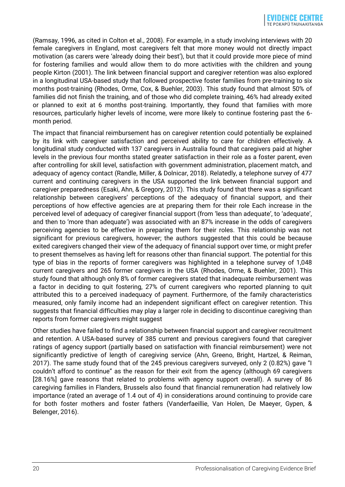(Ramsay, 1996, as cited in Colton et al., 2008). For example, in a study involving interviews with 20 female caregivers in England, most caregivers felt that more money would not directly impact motivation (as carers were 'already doing their best'), but that it could provide more piece of mind for fostering families and would allow them to do more activities with the children and young people Kirton (2001). The link between financial support and caregiver retention was also explored in a longitudinal USA-based study that followed prospective foster families from pre-training to six months post-training (Rhodes, Orme, Cox, & Buehler, 2003). This study found that almost 50% of families did not finish the training, and of those who did complete training, 46% had already exited or planned to exit at 6 months post-training. Importantly, they found that families with more resources, particularly higher levels of income, were more likely to continue fostering past the 6 month period.

The impact that financial reimbursement has on caregiver retention could potentially be explained by its link with caregiver satisfaction and perceived ability to care for children effectively. A longitudinal study conducted with 137 caregivers in Australia found that caregivers paid at higher levels in the previous four months stated greater satisfaction in their role as a foster parent, even after controlling for skill level, satisfaction with government administration, placement match, and adequacy of agency contact (Randle, Miller, & Dolnicar, 2018). Relatedly, a telephone survey of 477 current and continuing caregivers in the USA supported the link between financial support and caregiver preparedness (Esaki, Ahn, & Gregory, 2012). This study found that there was a significant relationship between caregivers' perceptions of the adequacy of financial support, and their perceptions of how effective agencies are at preparing them for their role Each increase in the perceived level of adequacy of caregiver financial support (from 'less than adequate', to 'adequate', and then to 'more than adequate') was associated with an 87% increase in the odds of caregivers perceiving agencies to be effective in preparing them for their roles. This relationship was not significant for previous caregivers, however; the authors suggested that this could be because exited caregivers changed their view of the adequacy of financial support over time, or might prefer to present themselves as having left for reasons other than financial support. The potential for this type of bias in the reports of former caregivers was highlighted in a telephone survey of 1,048 current caregivers and 265 former caregivers in the USA (Rhodes, Orme, & Buehler, 2001). This study found that although only 8% of former caregivers stated that inadequate reimbursement was a factor in deciding to quit fostering, 27% of current caregivers who reported planning to quit attributed this to a perceived inadequacy of payment. Furthermore, of the family characteristics measured, only family income had an independent significant effect on caregiver retention. This suggests that financial difficulties may play a larger role in deciding to discontinue caregiving than reports from former caregivers might suggest

Other studies have failed to find a relationship between financial support and caregiver recruitment and retention. A USA-based survey of 385 current and previous caregivers found that caregiver ratings of agency support (partially based on satisfaction with financial reimbursement) were not significantly predictive of length of caregiving service (Ahn, Greeno, Bright, Hartzel, & Reiman, 2017). The same study found that of the 245 previous caregivers surveyed, only 2 (0.82%) gave "I couldn't afford to continue" as the reason for their exit from the agency (although 69 caregivers [28.16%] gave reasons that related to problems with agency support overall). A survey of 86 caregiving families in Flanders, Brussels also found that financial remuneration had relatively low importance (rated an average of 1.4 out of 4) in considerations around continuing to provide care for both foster mothers and foster fathers (Vanderfaeillie, Van Holen, De Maeyer, Gypen, & Belenger, 2016).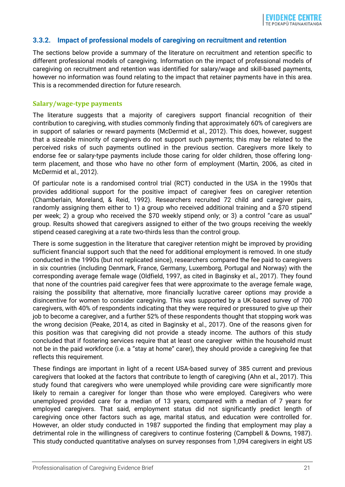#### **3.3.2. Impact of professional models of caregiving on recruitment and retention**

The sections below provide a summary of the literature on recruitment and retention specific to different professional models of caregiving. Information on the impact of professional models of caregiving on recruitment and retention was identified for salary/wage and skill-based payments, however no information was found relating to the impact that retainer payments have in this area. This is a recommended direction for future research.

#### **Salary/wage-type payments**

The literature suggests that a majority of caregivers support financial recognition of their contribution to caregiving, with studies commonly finding that approximately 60% of caregivers are in support of salaries or reward payments (McDermid et al., 2012). This does, however, suggest that a sizeable minority of caregivers do not support such payments; this may be related to the perceived risks of such payments outlined in the previous section. Caregivers more likely to endorse fee or salary-type payments include those caring for older children, those offering longterm placement, and those who have no other form of employment (Martin, 2006, as cited in McDermid et al., 2012).

Of particular note is a randomised control trial (RCT) conducted in the USA in the 1990s that provides additional support for the positive impact of caregiver fees on caregiver retention (Chamberlain, Moreland, & Reid, 1992). Researchers recruited 72 child and caregiver pairs, randomly assigning them either to 1) a group who received additional training and a \$70 stipend per week; 2) a group who received the \$70 weekly stipend only; or 3) a control "care as usual" group. Results showed that caregivers assigned to either of the two groups receiving the weekly stipend ceased caregiving at a rate two-thirds less than the control group.

There is some suggestion in the literature that caregiver retention might be improved by providing sufficient financial support such that the need for additional employment is removed. In one study conducted in the 1990s (but not replicated since), researchers compared the fee paid to caregivers in six countries (including Denmark, France, Germany, Luxemborg, Portugal and Norway) with the corresponding average female wage (Oldfield, 1997, as cited in Baginsky et al., 2017). They found that none of the countries paid caregiver fees that were approximate to the average female wage, raising the possibility that alternative, more financially lucrative career options may provide a disincentive for women to consider caregiving. This was supported by a UK-based survey of 700 caregivers, with 40% of respondents indicating that they were required or pressured to give up their job to become a caregiver, and a further 52% of these respondents thought that stopping work was the wrong decision (Peake, 2014, as cited in Baginsky et al., 2017). One of the reasons given for this position was that caregiving did not provide a steady income. The authors of this study concluded that if fostering services require that at least one caregiver within the household must not be in the paid workforce (i.e. a "stay at home" carer), they should provide a caregiving fee that reflects this requirement.

These findings are important in light of a recent USA-based survey of 385 current and previous caregivers that looked at the factors that contribute to length of caregiving (Ahn et al., 2017). This study found that caregivers who were unemployed while providing care were significantly more likely to remain a caregiver for longer than those who were employed. Caregivers who were unemployed provided care for a median of 13 years, compared with a median of 7 years for employed caregivers. That said, employment status did not significantly predict length of caregiving once other factors such as age, marital status, and education were controlled for. However, an older study conducted in 1987 supported the finding that employment may play a detrimental role in the willingness of caregivers to continue fostering (Campbell & Downs, 1987). This study conducted quantitative analyses on survey responses from 1,094 caregivers in eight US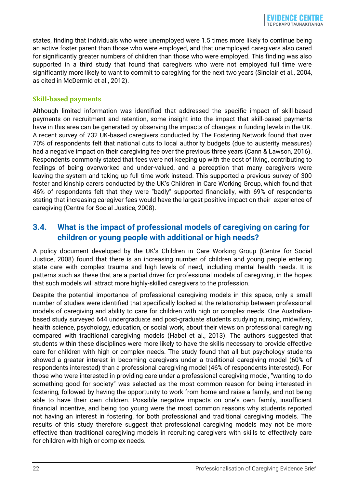states, finding that individuals who were unemployed were 1.5 times more likely to continue being an active foster parent than those who were employed, and that unemployed caregivers also cared for significantly greater numbers of children than those who were employed. This finding was also supported in a third study that found that caregivers who were not employed full time were significantly more likely to want to commit to caregiving for the next two years (Sinclair et al., 2004, as cited in McDermid et al., 2012).

#### **Skill-based payments**

Although limited information was identified that addressed the specific impact of skill-based payments on recruitment and retention, some insight into the impact that skill-based payments have in this area can be generated by observing the impacts of changes in funding levels in the UK. A recent survey of 732 UK-based caregivers conducted by The Fostering Network found that over 70% of respondents felt that national cuts to local authority budgets (due to austerity measures) had a negative impact on their caregiving fee over the previous three years (Cann & Lawson, 2016). Respondents commonly stated that fees were not keeping up with the cost of living, contributing to feelings of being overworked and under-valued, and a perception that many caregivers were leaving the system and taking up full time work instead. This supported a previous survey of 300 foster and kinship carers conducted by the UK's Children in Care Working Group, which found that 46% of respondents felt that they were "badly" supported financially, with 69% of respondents stating that increasing caregiver fees would have the largest positive impact on their experience of caregiving (Centre for Social Justice, 2008).

#### <span id="page-21-0"></span>**3.4. What is the impact of professional models of caregiving on caring for children or young people with additional or high needs?**

A policy document developed by the UK's Children in Care Working Group (Centre for Social Justice, 2008) found that there is an increasing number of children and young people entering state care with complex trauma and high levels of need, including mental health needs. It is patterns such as these that are a partial driver for professional models of caregiving, in the hopes that such models will attract more highly-skilled caregivers to the profession.

Despite the potential importance of professional caregiving models in this space, only a small number of studies were identified that specifically looked at the relationship between professional models of caregiving and ability to care for children with high or complex needs. One Australianbased study surveyed 644 undergraduate and post-graduate students studying nursing, midwifery, health science, psychology, education, or social work, about their views on professional caregiving compared with traditional caregiving models (Habel et al., 2013). The authors suggested that students within these disciplines were more likely to have the skills necessary to provide effective care for children with high or complex needs. The study found that all but psychology students showed a greater interest in becoming caregivers under a traditional caregiving model (60% of respondents interested) than a professional caregiving model (46% of respondents interested). For those who were interested in providing care under a professional caregiving model, "wanting to do something good for society" was selected as the most common reason for being interested in fostering, followed by having the opportunity to work from home and raise a family, and not being able to have their own children. Possible negative impacts on one's own family, insufficient financial incentive, and being too young were the most common reasons why students reported not having an interest in fostering, for both professional and traditional caregiving models. The results of this study therefore suggest that professional caregiving models may not be more effective than traditional caregiving models in recruiting caregivers with skills to effectively care for children with high or complex needs.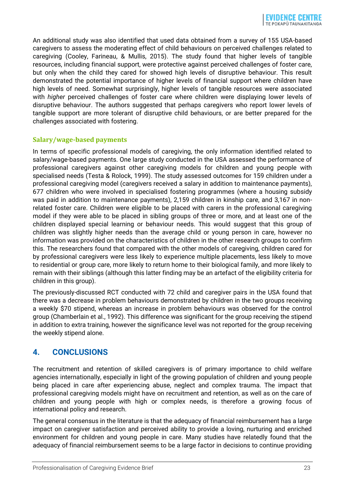An additional study was also identified that used data obtained from a survey of 155 USA-based caregivers to assess the moderating effect of child behaviours on perceived challenges related to caregiving (Cooley, Farineau, & Mullis, 2015). The study found that higher levels of tangible resources, including financial support, were protective against perceived challenges of foster care, but only when the child they cared for showed high levels of disruptive behaviour. This result demonstrated the potential importance of higher levels of financial support where children have high levels of need. Somewhat surprisingly, higher levels of tangible resources were associated with *higher* perceived challenges of foster care where children were displaying lower levels of disruptive behaviour. The authors suggested that perhaps caregivers who report lower levels of tangible support are more tolerant of disruptive child behaviours, or are better prepared for the challenges associated with fostering.

#### **Salary/wage-based payments**

In terms of specific professional models of caregiving, the only information identified related to salary/wage-based payments. One large study conducted in the USA assessed the performance of professional caregivers against other caregiving models for children and young people with specialised needs (Testa & Rolock, 1999). The study assessed outcomes for 159 children under a professional caregiving model (caregivers received a salary in addition to maintenance payments), 677 children who were involved in specialised fostering programmes (where a housing subsidy was paid in addition to maintenance payments), 2,159 children in kinship care, and 3,167 in nonrelated foster care. Children were eligible to be placed with carers in the professional caregiving model if they were able to be placed in sibling groups of three or more, and at least one of the children displayed special learning or behaviour needs. This would suggest that this group of children was slightly higher needs than the average child or young person in care, however no information was provided on the characteristics of children in the other research groups to confirm this. The researchers found that compared with the other models of caregiving, children cared for by professional caregivers were less likely to experience multiple placements, less likely to move to residential or group care, more likely to return home to their biological family, and more likely to remain with their siblings (although this latter finding may be an artefact of the eligibility criteria for children in this group).

The previously-discussed RCT conducted with 72 child and caregiver pairs in the USA found that there was a decrease in problem behaviours demonstrated by children in the two groups receiving a weekly \$70 stipend, whereas an increase in problem behaviours was observed for the control group (Chamberlain et al., 1992). This difference was significant for the group receiving the stipend in addition to extra training, however the significance level was not reported for the group receiving the weekly stipend alone.

#### <span id="page-22-0"></span>**4. CONCLUSIONS**

The recruitment and retention of skilled caregivers is of primary importance to child welfare agencies internationally, especially in light of the growing population of children and young people being placed in care after experiencing abuse, neglect and complex trauma. The impact that professional caregiving models might have on recruitment and retention, as well as on the care of children and young people with high or complex needs, is therefore a growing focus of international policy and research.

The general consensus in the literature is that the adequacy of financial reimbursement has a large impact on caregiver satisfaction and perceived ability to provide a loving, nurturing and enriched environment for children and young people in care. Many studies have relatedly found that the adequacy of financial reimbursement seems to be a large factor in decisions to continue providing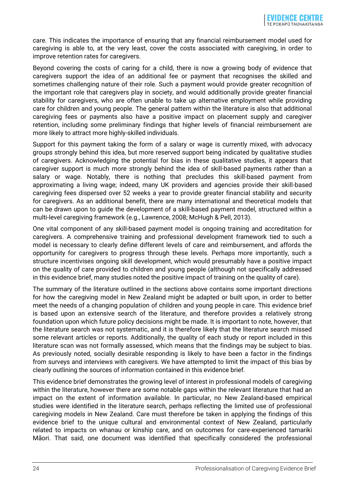care. This indicates the importance of ensuring that any financial reimbursement model used for caregiving is able to, at the very least, cover the costs associated with caregiving, in order to improve retention rates for caregivers.

Beyond covering the costs of caring for a child, there is now a growing body of evidence that caregivers support the idea of an additional fee or payment that recognises the skilled and sometimes challenging nature of their role. Such a payment would provide greater recognition of the important role that caregivers play in society, and would additionally provide greater financial stability for caregivers, who are often unable to take up alternative employment while providing care for children and young people. The general pattern within the literature is also that additional caregiving fees or payments also have a positive impact on placement supply and caregiver retention, including some preliminary findings that higher levels of financial reimbursement are more likely to attract more highly-skilled individuals.

Support for this payment taking the form of a salary or wage is currently mixed, with advocacy groups strongly behind this idea, but more reserved support being indicated by qualitative studies of caregivers. Acknowledging the potential for bias in these qualitative studies, it appears that caregiver support is much more strongly behind the idea of skill-based payments rather than a salary or wage. Notably, there is nothing that precludes this skill-based payment from approximating a living wage; indeed, many UK providers and agencies provide their skill-based caregiving fees dispersed over 52 weeks a year to provide greater financial stability and security for caregivers. As an additional benefit, there are many international and theoretical models that can be drawn upon to guide the development of a skill-based payment model, structured within a multi-level caregiving framework (e.g., Lawrence, 2008; McHugh & Pell, 2013).

One vital component of any skill-based payment model is ongoing training and accreditation for caregivers. A comprehensive training and professional development framework tied to such a model is necessary to clearly define different levels of care and reimbursement, and affords the opportunity for caregivers to progress through these levels. Perhaps more importantly, such a structure incentivises ongoing skill development, which would presumably have a positive impact on the quality of care provided to children and young people (although not specifically addressed in this evidence brief, many studies noted the positive impact of training on the quality of care).

The summary of the literature outlined in the sections above contains some important directions for how the caregiving model in New Zealand might be adapted or built upon, in order to better meet the needs of a changing population of children and young people in care. This evidence brief is based upon an extensive search of the literature, and therefore provides a relatively strong foundation upon which future policy decisions might be made. It is important to note, however, that the literature search was not systematic, and it is therefore likely that the literature search missed some relevant articles or reports. Additionally, the quality of each study or report included in this literature scan was not formally assessed, which means that the findings may be subject to bias. As previously noted, socially desirable responding is likely to have been a factor in the findings from surveys and interviews with caregivers. We have attempted to limit the impact of this bias by clearly outlining the sources of information contained in this evidence brief.

This evidence brief demonstrates the growing level of interest in professional models of caregiving within the literature, however there are some notable gaps within the relevant literature that had an impact on the extent of information available. In particular, no New Zealand-based empirical studies were identified in the literature search, perhaps reflecting the limited use of professional caregiving models in New Zealand. Care must therefore be taken in applying the findings of this evidence brief to the unique cultural and environmental context of New Zealand, particularly related to impacts on whanau or kinship care, and on outcomes for care-experienced tamariki Māori. That said, one document was identified that specifically considered the professional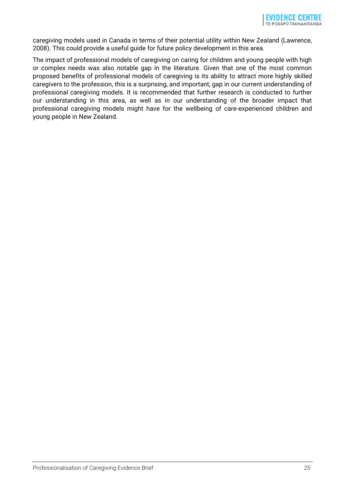caregiving models used in Canada in terms of their potential utility within New Zealand (Lawrence, 2008). This could provide a useful guide for future policy development in this area.

The impact of professional models of caregiving on caring for children and young people with high or complex needs was also notable gap in the literature. Given that one of the most common proposed benefits of professional models of caregiving is its ability to attract more highly skilled caregivers to the profession, this is a surprising, and important, gap in our current understanding of professional caregiving models. It is recommended that further research is conducted to further our understanding in this area, as well as in our understanding of the broader impact that professional caregiving models might have for the wellbeing of care-experienced children and young people in New Zealand.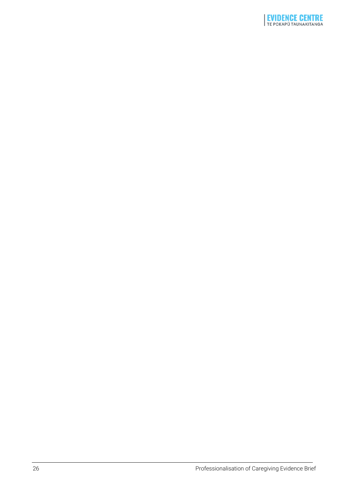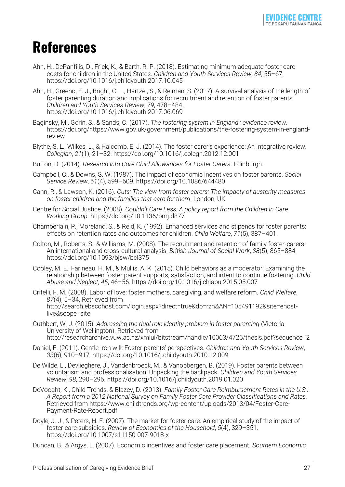### <span id="page-26-0"></span>**References**

- Ahn, H., DePanfilis, D., Frick, K., & Barth, R. P. (2018). Estimating minimum adequate foster care costs for children in the United States. *Children and Youth Services Review*, *84*, 55–67. https://doi.org/10.1016/j.childyouth.2017.10.045
- Ahn, H., Greeno, E. J., Bright, C. L., Hartzel, S., & Reiman, S. (2017). A survival analysis of the length of foster parenting duration and implications for recruitment and retention of foster parents. *Children and Youth Services Review*, *79*, 478–484. https://doi.org/10.1016/j.childyouth.2017.06.069
- Baginsky, M., Gorin, S., & Sands, C. (2017). *The fostering system in England : evidence review*. https://doi.org/https://www.gov.uk/government/publications/the-fostering-system-in-englandreview
- Blythe, S. L., Wilkes, L., & Halcomb, E. J. (2014). The foster carer's experience: An integrative review. *Collegian*, *21*(1), 21–32. https://doi.org/10.1016/j.colegn.2012.12.001
- Button, D. (2014). *Research into Core Child Allowances for Foster Carers*. Edinburgh.
- Campbell, C., & Downs, S. W. (1987). The impact of economic incentives on foster parents. *Social Service Review*, *61*(4), 599–609. https://doi.org/10.1086/644480
- Cann, R., & Lawson, K. (2016). *Cuts: The view from foster carers: The impacty of austerity measures on foster children and the families that care for them*. London, UK.
- Centre for Social Justice. (2008). *Couldn't Care Less: A policy report from the Children in Care Working Group*. https://doi.org/10.1136/bmj.d877
- Chamberlain, P., Moreland, S., & Reid, K. (1992). Enhanced services and stipends for foster parents: effects on retention rates and outcomes for children. *Child Welfare*, *71*(5), 387–401.
- Colton, M., Roberts, S., & Williams, M. (2008). The recruitment and retention of family foster-carers: An international and cross-cultural analysis. *British Journal of Social Work*, *38*(5), 865–884. https://doi.org/10.1093/bjsw/bcl375
- Cooley, M. E., Farineau, H. M., & Mullis, A. K. (2015). Child behaviors as a moderator: Examining the relationship between foster parent supports, satisfaction, and intent to continue fostering. *Child Abuse and Neglect*, *45*, 46–56. https://doi.org/10.1016/j.chiabu.2015.05.007
- Critelli, F. M. (2008). Labor of love: foster mothers, caregiving, and welfare reform. *Child Welfare*, *87*(4), 5–34. Retrieved from http://search.ebscohost.com/login.aspx?direct=true&db=rzh&AN=105491192&site=ehostlive&scope=site
- Cuthbert, W. J. (2015). *Addressing the dual role identity problem in foster parenting* (Victoria University of Wellington). Retrieved from http://researcharchive.vuw.ac.nz/xmlui/bitstream/handle/10063/4726/thesis.pdf?sequence=2
- Daniel, E. (2011). Gentle iron will: Foster parents' perspectives. *Children and Youth Services Review*, *33*(6), 910–917. https://doi.org/10.1016/j.childyouth.2010.12.009
- De Wilde, L., Devlieghere, J., Vandenbroeck, M., & Vanobbergen, B. (2019). Foster parents between voluntarism and professionalisation: Unpacking the backpack. *Children and Youth Services Review*, *98*, 290–296. https://doi.org/10.1016/j.childyouth.2019.01.020
- DeVooght, K., Child Trends, & Blazey, D. (2013). *Family Foster Care Reimbursement Rates in the U.S.: A Report from a 2012 National Survey on Family Foster Care Provider Classifications and Rates*. Retrieved from https://www.childtrends.org/wp-content/uploads/2013/04/Foster-Care-Payment-Rate-Report.pdf
- Doyle, J. J., & Peters, H. E. (2007). The market for foster care: An empirical study of the impact of foster care subsidies. *Review of Economics of the Household*, *5*(4), 329–351. https://doi.org/10.1007/s11150-007-9018-x
- Duncan, B., & Argys, L. (2007). Economic incentives and foster care placement. *Southern Economic*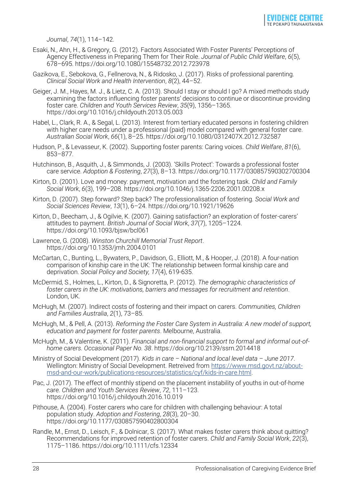*Journal*, *74*(1), 114–142.

- Esaki, N., Ahn, H., & Gregory, G. (2012). Factors Associated With Foster Parents' Perceptions of Agency Effectiveness in Preparing Them for Their Role. *Journal of Public Child Welfare*, *6*(5), 678–695. https://doi.org/10.1080/15548732.2012.723978
- Gazikova, E., Sebokova, G., Fellnerova, N., & Ridosko, J. (2017). Risks of professional parenting. *Clinical Social Work and Health Intervention*, *8*(2), 44–52.
- Geiger, J. M., Hayes, M. J., & Lietz, C. A. (2013). Should I stay or should I go? A mixed methods study examining the factors influencing foster parents' decisions to continue or discontinue providing foster care. *Children and Youth Services Review*, *35*(9), 1356–1365. https://doi.org/10.1016/j.childyouth.2013.05.003
- Habel, L., Clark, R. A., & Segal, L. (2013). Interest from tertiary educated persons in fostering children with higher care needs under a professional (paid) model compared with general foster care. *Australian Social Work*, *66*(1), 8–25. https://doi.org/10.1080/0312407X.2012.732587
- Hudson, P., & Levasseur, K. (2002). Supporting foster parents: Caring voices. *Child Welfare*, *81*(6), 853–877.
- Hutchinson, B., Asquith, J., & Simmonds, J. (2003). 'Skills Protect': Towards a professional foster care service. *Adoption & Fostering*, *27*(3), 8–13. https://doi.org/10.1177/030857590302700304
- Kirton, D. (2001). Love and money: payment, motivation and the fostering task. *Child and Family Social Work*, *6*(3), 199–208. https://doi.org/10.1046/j.1365-2206.2001.00208.x
- Kirton, D. (2007). Step forward? Step back? The professionalisation of fostering. *Social Work and Social Sciences Review*, *13*(1), 6–24. https://doi.org/10.1921/19626
- Kirton, D., Beecham, J., & Ogilvie, K. (2007). Gaining satisfaction? an exploration of foster-carers' attitudes to payment. *British Journal of Social Work*, *37*(7), 1205–1224. https://doi.org/10.1093/bjsw/bcl061
- Lawrence, G. (2008). *Winston Churchill Memorial Trust Report*. https://doi.org/10.1353/jmh.2004.0101
- McCartan, C., Bunting, L., Bywaters, P., Davidson, G., Elliott, M., & Hooper, J. (2018). A four-nation comparison of kinship care in the UK: The relationship between formal kinship care and deprivation. *Social Policy and Society, 17*(4), 619-635.
- McDermid, S., Holmes, L., Kirton, D., & Signoretta, P. (2012). *The demographic characteristics of foster carers in the UK: motivations, barriers and messages for recruitment and retention*. London, UK.
- McHugh, M. (2007). Indirect costs of fostering and their impact on carers. *Communities, Children and Families Australia*, *2*(1), 73–85.
- McHugh, M., & Pell, A. (2013). *Reforming the Foster Care System in Australia: A new model of support, education and payment for foster parents*. Melbourne, Australia.
- McHugh, M., & Valentine, K. (2011). *Financial and non-financial support to formal and informal out-ofhome carers. Occasional Paper No. 38*. https://doi.org/10.2139/ssrn.2014418
- Ministry of Social Development (2017). *Kids in care – National and local level data – June 2017*. Wellington: Ministry of Social Development. Retreived from [https://www.msd.govt.nz/about](https://www.msd.govt.nz/about-msd-and-our-work/publications-resources/statistics/cyf/kids-in-care.html)[msd-and-our-work/publications-resources/statistics/cyf/kids-in-care.html.](https://www.msd.govt.nz/about-msd-and-our-work/publications-resources/statistics/cyf/kids-in-care.html)
- Pac, J. (2017). The effect of monthly stipend on the placement instability of youths in out-of-home care. *Children and Youth Services Review*, *72*, 111–123. https://doi.org/10.1016/j.childyouth.2016.10.019
- Pithouse, A. (2004). Foster carers who care for children with challenging behaviour: A total population study. *Adoption and Fostering*, *28*(3), 20–30. https://doi.org/10.1177/030857590402800304
- Randle, M., Ernst, D., Leisch, F., & Dolnicar, S. (2017). What makes foster carers think about quitting? Recommendations for improved retention of foster carers. *Child and Family Social Work*, *22*(3), 1175–1186. https://doi.org/10.1111/cfs.12334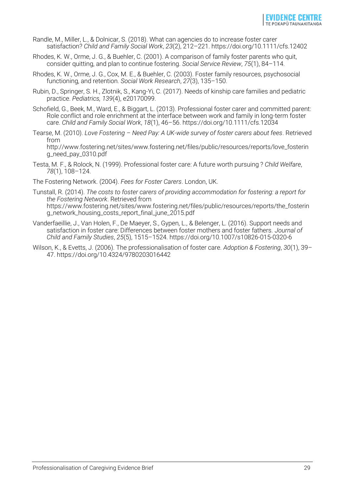- Randle, M., Miller, L., & Dolnicar, S. (2018). What can agencies do to increase foster carer satisfaction? *Child and Family Social Work*, *23*(2), 212–221. https://doi.org/10.1111/cfs.12402
- Rhodes, K. W., Orme, J. G., & Buehler, C. (2001). A comparison of family foster parents who quit, consider quitting, and plan to continue fostering. *Social Service Review*, *75*(1), 84–114.
- Rhodes, K. W., Orme, J. G., Cox, M. E., & Buehler, C. (2003). Foster family resources, psychosocial functioning, and retention. *Social Work Research*, *27*(3), 135–150.
- Rubin, D., Springer, S. H., Zlotnik, S., Kang-Yi, C. (2017). Needs of kinship care families and pediatric practice. *Pediatrics, 139*(4), e20170099.
- Schofield, G., Beek, M., Ward, E., & Biggart, L. (2013). Professional foster carer and committed parent: Role conflict and role enrichment at the interface between work and family in long-term foster care. *Child and Family Social Work*, *18*(1), 46–56. https://doi.org/10.1111/cfs.12034
- Tearse, M. (2010). *Love Fostering – Need Pay: A UK-wide survey of foster carers about fees*. Retrieved from

http://www.fostering.net/sites/www.fostering.net/files/public/resources/reports/love\_fosterin g\_need\_pay\_0310.pdf

Testa, M. F., & Rolock, N. (1999). Professional foster care: A future worth pursuing ? *Child Welfare*, *78*(1), 108–124.

The Fostering Network. (2004). *Fees for Foster Carers*. London, UK.

- Tunstall, R. (2014). *The costs to foster carers of providing accommodation for fostering: a report for the Fostering Network*. Retrieved from https://www.fostering.net/sites/www.fostering.net/files/public/resources/reports/the\_fosterin g\_network\_housing\_costs\_report\_final\_june\_2015.pdf
- Vanderfaeillie, J., Van Holen, F., De Maeyer, S., Gypen, L., & Belenger, L. (2016). Support needs and satisfaction in foster care: Differences between foster mothers and foster fathers. *Journal of Child and Family Studies*, *25*(5), 1515–1524. https://doi.org/10.1007/s10826-015-0320-6
- Wilson, K., & Evetts, J. (2006). The professionalisation of foster care. *Adoption & Fostering*, *30*(1), 39– 47. https://doi.org/10.4324/9780203016442